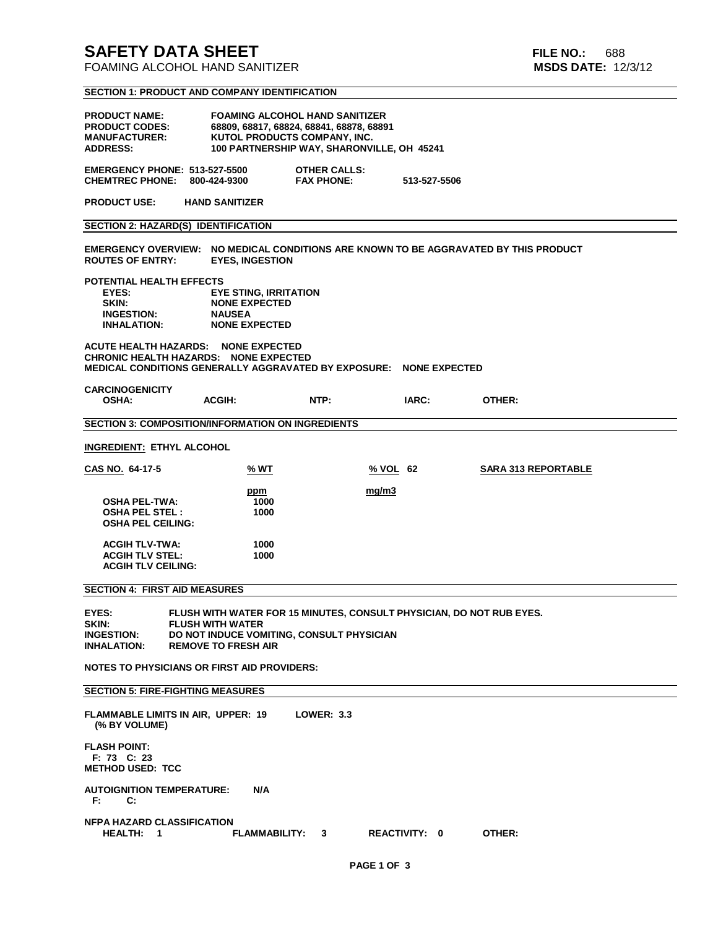# **SAFETY DATA SHEET FILE NO.:** 688

**FOAMING ALCOHOL HAND SANITIZER** 

**SECTION 1: PRODUCT AND COMPANY IDENTIFICATION**

| <b>FOAMING ALCOHOL HAND SANITIZER</b><br><b>PRODUCT NAME:</b><br><b>PRODUCT CODES:</b><br>68809, 68817, 68824, 68841, 68878, 68891<br>KUTOL PRODUCTS COMPANY, INC.<br><b>MANUFACTURER:</b><br>100 PARTNERSHIP WAY, SHARONVILLE, OH 45241<br><b>ADDRESS:</b> |                                                                                               |                                          |              |                            |  |  |  |  |  |  |  |
|-------------------------------------------------------------------------------------------------------------------------------------------------------------------------------------------------------------------------------------------------------------|-----------------------------------------------------------------------------------------------|------------------------------------------|--------------|----------------------------|--|--|--|--|--|--|--|
| <b>EMERGENCY PHONE: 513-527-5500</b><br><b>CHEMTREC PHONE:</b>                                                                                                                                                                                              | 800-424-9300                                                                                  | <b>OTHER CALLS:</b><br><b>FAX PHONE:</b> | 513-527-5506 |                            |  |  |  |  |  |  |  |
| <b>PRODUCT USE:</b>                                                                                                                                                                                                                                         | <b>HAND SANITIZER</b>                                                                         |                                          |              |                            |  |  |  |  |  |  |  |
| <b>SECTION 2: HAZARD(S) IDENTIFICATION</b>                                                                                                                                                                                                                  |                                                                                               |                                          |              |                            |  |  |  |  |  |  |  |
| EMERGENCY OVERVIEW: NO MEDICAL CONDITIONS ARE KNOWN TO BE AGGRAVATED BY THIS PRODUCT<br><b>ROUTES OF ENTRY:</b><br><b>EYES, INGESTION</b>                                                                                                                   |                                                                                               |                                          |              |                            |  |  |  |  |  |  |  |
| POTENTIAL HEALTH EFFECTS<br>EYES:<br>SKIN:<br><b>INGESTION:</b><br><b>INHALATION:</b>                                                                                                                                                                       | <b>EYE STING, IRRITATION</b><br><b>NONE EXPECTED</b><br><b>NAUSEA</b><br><b>NONE EXPECTED</b> |                                          |              |                            |  |  |  |  |  |  |  |
| <b>ACUTE HEALTH HAZARDS:</b><br><b>NONE EXPECTED</b><br>CHRONIC HEALTH HAZARDS: NONE EXPECTED<br>MEDICAL CONDITIONS GENERALLY AGGRAVATED BY EXPOSURE: NONE EXPECTED                                                                                         |                                                                                               |                                          |              |                            |  |  |  |  |  |  |  |
| <b>CARCINOGENICITY</b><br><b>OSHA:</b>                                                                                                                                                                                                                      | <b>ACGIH:</b>                                                                                 | NTP:                                     | IARC:        | OTHER:                     |  |  |  |  |  |  |  |
| <b>SECTION 3: COMPOSITION/INFORMATION ON INGREDIENTS</b>                                                                                                                                                                                                    |                                                                                               |                                          |              |                            |  |  |  |  |  |  |  |
| <b>INGREDIENT: ETHYL ALCOHOL</b>                                                                                                                                                                                                                            |                                                                                               |                                          |              |                            |  |  |  |  |  |  |  |
| CAS NO. 64-17-5                                                                                                                                                                                                                                             | % WT                                                                                          | % VOL 62                                 |              | <b>SARA 313 REPORTABLE</b> |  |  |  |  |  |  |  |
| <b>OSHA PEL-TWA:</b><br><b>OSHA PEL STEL:</b><br><b>OSHA PEL CEILING:</b>                                                                                                                                                                                   | ppm<br>1000<br>1000                                                                           | mq/m3                                    |              |                            |  |  |  |  |  |  |  |
| <b>ACGIH TLV-TWA:</b><br><b>ACGIH TLV STEL:</b><br><b>ACGIH TLV CEILING:</b>                                                                                                                                                                                | 1000<br>1000                                                                                  |                                          |              |                            |  |  |  |  |  |  |  |
| <b>SECTION 4: FIRST AID MEASURES</b>                                                                                                                                                                                                                        |                                                                                               |                                          |              |                            |  |  |  |  |  |  |  |
| EYES:<br>FLUSH WITH WATER FOR 15 MINUTES, CONSULT PHYSICIAN, DO NOT RUB EYES.<br>SKIN:<br><b>FLUSH WITH WATER</b><br><b>INGESTION:</b><br>DO NOT INDUCE VOMITING, CONSULT PHYSICIAN<br><b>INHALATION:</b><br><b>REMOVE TO FRESH AIR</b>                     |                                                                                               |                                          |              |                            |  |  |  |  |  |  |  |
| <b>NOTES TO PHYSICIANS OR FIRST AID PROVIDERS:</b>                                                                                                                                                                                                          |                                                                                               |                                          |              |                            |  |  |  |  |  |  |  |
| <b>SECTION 5: FIRE-FIGHTING MEASURES</b>                                                                                                                                                                                                                    |                                                                                               |                                          |              |                            |  |  |  |  |  |  |  |
| <b>FLAMMABLE LIMITS IN AIR, UPPER: 19</b><br><b>LOWER: 3.3</b><br>(% BY VOLUME)                                                                                                                                                                             |                                                                                               |                                          |              |                            |  |  |  |  |  |  |  |
| <b>FLASH POINT:</b><br>F: 73 C: 23<br><b>METHOD USED: TCC</b>                                                                                                                                                                                               |                                                                                               |                                          |              |                            |  |  |  |  |  |  |  |
| <b>AUTOIGNITION TEMPERATURE:</b><br>F:<br>C:                                                                                                                                                                                                                | N/A                                                                                           |                                          |              |                            |  |  |  |  |  |  |  |
| <b>NFPA HAZARD CLASSIFICATION</b><br><b>REACTIVITY: 0</b><br>OTHER:<br>HEALTH: 1<br><b>FLAMMABILITY:</b><br>3                                                                                                                                               |                                                                                               |                                          |              |                            |  |  |  |  |  |  |  |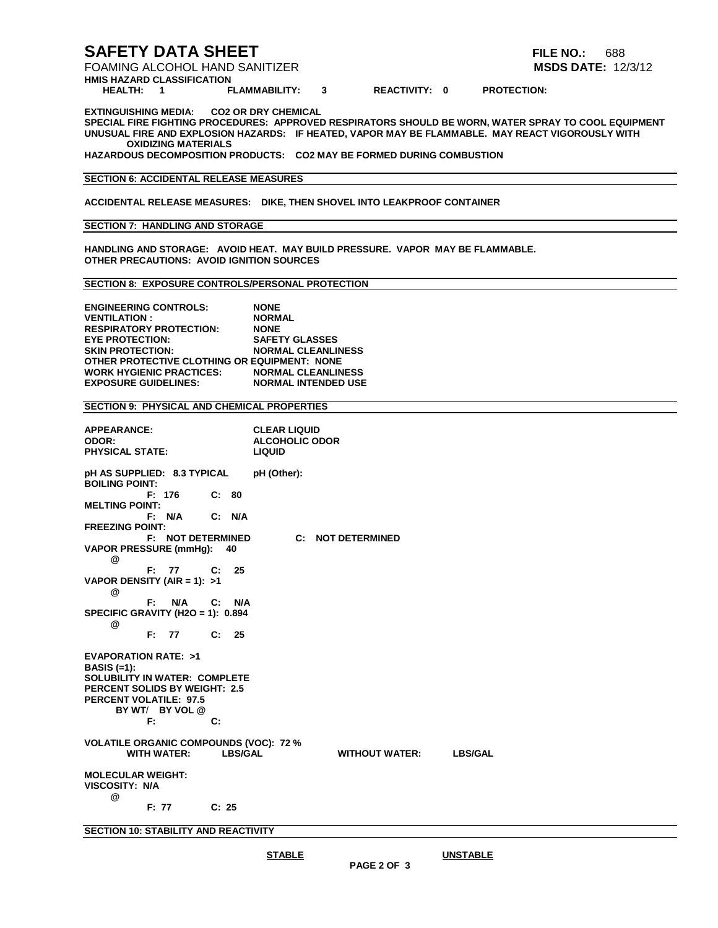### **SAFETY DATA SHEET FILE NO.:** 688

FOAMING ALCOHOL HAND SANITIZER **MSDS DATE:** 12/3/12

**HMIS HAZARD CLASSIFICATION**

3 REACTIVITY: 0 PROTECTION:

**EXTINGUISHING MEDIA: CO2 OR DRY CHEMICAL**

**SPECIAL FIRE FIGHTING PROCEDURES: APPROVED RESPIRATORS SHOULD BE WORN, WATER SPRAY TO COOL EQUIPMENT UNUSUAL FIRE AND EXPLOSION HAZARDS: IF HEATED, VAPOR MAY BE FLAMMABLE. MAY REACT VIGOROUSLY WITH OXIDIZING MATERIALS**

**HAZARDOUS DECOMPOSITION PRODUCTS: CO2 MAY BE FORMED DURING COMBUSTION**

#### **SECTION 6: ACCIDENTAL RELEASE MEASURES**

**ACCIDENTAL RELEASE MEASURES: DIKE, THEN SHOVEL INTO LEAKPROOF CONTAINER**

#### **SECTION 7: HANDLING AND STORAGE**

**HANDLING AND STORAGE: AVOID HEAT. MAY BUILD PRESSURE. VAPOR MAY BE FLAMMABLE. OTHER PRECAUTIONS: AVOID IGNITION SOURCES**

#### **SECTION 8: EXPOSURE CONTROLS/PERSONAL PROTECTION**

**ENGINEERING CONTROLS: NONE VENTILATION : NORMAL RESPIRATORY PROTECTION: NONE EYE PROTECTION:**<br>**SKIN PROTECTION: SKIN PROTECTION: NORMAL CLEANLINESS OTHER PROTECTIVE CLOTHING OR EQUIPMENT: NONE WORK HYGIENIC PRACTICES: EXPOSURE GUIDELINES: NORMAL INTENDED USE**

#### **SECTION 9: PHYSICAL AND CHEMICAL PROPERTIES**

| <b>APPEARANCE:</b><br>ODOR:<br><b>PHYSICAL STATE:</b>                                                                                                                 |        |                          |                |                | <b>CLEAR LIQUID</b><br><b>ALCOHOLIC ODOR</b><br><b>LIQUID</b> |                       |                        |
|-----------------------------------------------------------------------------------------------------------------------------------------------------------------------|--------|--------------------------|----------------|----------------|---------------------------------------------------------------|-----------------------|------------------------|
| pH AS SUPPLIED: 8.3 TYPICAL<br><b>BOILING POINT:</b>                                                                                                                  |        |                          |                |                | pH (Other):                                                   |                       |                        |
| <b>MELTING POINT:</b>                                                                                                                                                 | F: 176 |                          | C: 80          |                |                                                               |                       |                        |
|                                                                                                                                                                       |        | F: N/A                   | C: N/A         |                |                                                               |                       |                        |
| <b>FREEZING POINT:</b>                                                                                                                                                |        | <b>F: NOT DETERMINED</b> |                |                | $\mathbf{C}$ :                                                | <b>NOT DETERMINED</b> |                        |
| <b>VAPOR PRESSURE (mmHg):</b><br>@                                                                                                                                    |        |                          |                | 40             |                                                               |                       |                        |
|                                                                                                                                                                       | F: 77  |                          | $\mathbf{C}$ : | 25             |                                                               |                       |                        |
| VAPOR DENSITY (AIR = 1): $>1$<br>@                                                                                                                                    |        |                          |                |                |                                                               |                       |                        |
|                                                                                                                                                                       | F:     | N/A C: N/A               |                |                |                                                               |                       |                        |
| SPECIFIC GRAVITY (H2O = 1): 0.894<br>@                                                                                                                                |        |                          |                |                |                                                               |                       |                        |
|                                                                                                                                                                       | F:     | 77 C: 25                 |                |                |                                                               |                       |                        |
| <b>EVAPORATION RATE: &gt;1</b><br><b>BASIS (=1):</b><br><b>SOLUBILITY IN WATER: COMPLETE</b><br><b>PERCENT SOLIDS BY WEIGHT: 2.5</b><br><b>PERCENT VOLATILE: 97.5</b> | F:     | BY WT/ BY VOL @          | C:             |                |                                                               |                       |                        |
| <b>VOLATILE ORGANIC COMPOUNDS (VOC): 72 %</b>                                                                                                                         |        | <b>WITH WATER:</b>       |                | <b>LBS/GAL</b> |                                                               |                       | WITHOUT WATER: LBS/GAL |
| <b>MOLECULAR WEIGHT:</b><br><b>VISCOSITY: N/A</b>                                                                                                                     |        |                          |                |                |                                                               |                       |                        |
| @                                                                                                                                                                     | F: 77  |                          | C: 25          |                |                                                               |                       |                        |
|                                                                                                                                                                       |        |                          |                |                |                                                               |                       |                        |

**SECTION 10: STABILITY AND REACTIVITY**

**STABLE UNSTABLE**